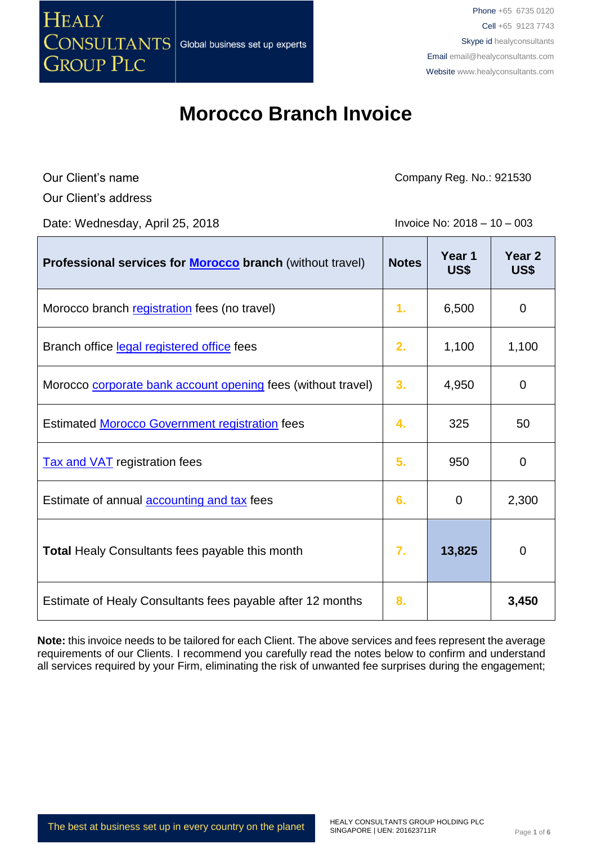

Our Client's name

Company Reg. No.: 921530

Our Client's address

Date: Wednesday, April 25, 2018 **Invoice No: 2018** - 10 – 003

| Professional services for <b>Morocco</b> branch (without travel) | <b>Notes</b> | Year 1<br>US\$ | Year <sub>2</sub><br>US\$ |
|------------------------------------------------------------------|--------------|----------------|---------------------------|
| Morocco branch registration fees (no travel)                     | 1.           | 6,500          | 0                         |
| Branch office legal registered office fees                       | 2.           | 1,100          | 1,100                     |
| Morocco corporate bank account opening fees (without travel)     | 3.           | 4,950          | 0                         |
| <b>Estimated Morocco Government registration fees</b>            | 4.           | 325            | 50                        |
| <b>Tax and VAT</b> registration fees                             | 5.           | 950            | 0                         |
| Estimate of annual <b>accounting and tax</b> fees                | 6.           | $\mathbf 0$    | 2,300                     |
| <b>Total Healy Consultants fees payable this month</b>           | 7.           | 13,825         | 0                         |
| Estimate of Healy Consultants fees payable after 12 months       | 8.           |                | 3,450                     |

**Note:** this invoice needs to be tailored for each Client. The above services and fees represent the average requirements of our Clients. I recommend you carefully read the notes below to confirm and understand all services required by your Firm, eliminating the risk of unwanted fee surprises during the engagement;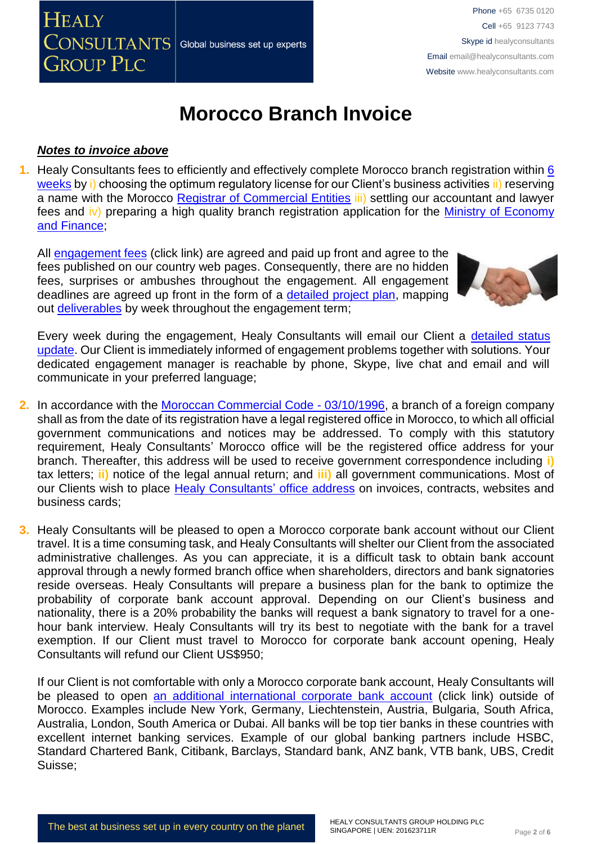

### *Notes to invoice above*

**1.** Healy Consultants fees to efficiently and effectively complete Morocco branch registration within [6](http://www.healyconsultants.com/morocco-company-registration/fees-timelines/) [weeks](http://www.healyconsultants.com/morocco-company-registration/fees-timelines/) by i) choosing the optimum regulatory license for our Client's business activities ii) reserving a name with the Morocco [Registrar of Commercial Entities](http://maps.service-public.ma/mfpma/geo/front/?lang=fr) iii) settling our accountant and lawyer fees and iv) preparing a high quality branch registration application for the Ministry of [Economy](http://www.finances.gov.ma/en/SitePages/home.aspx) and [Finance;](http://www.finances.gov.ma/en/SitePages/home.aspx)

All [engagement fees](http://www.healyconsultants.com/company-registration-fees/) (click link) are agreed and paid up front and agree to the fees published on our country web pages. Consequently, there are no hidden fees, surprises or ambushes throughout the engagement. All engagement deadlines are agreed up front in the form of a [detailed project plan,](http://www.healyconsultants.com/index-important-links/example-project-plan/) mapping out [deliverables](http://www.healyconsultants.com/deliverables-to-our-clients/) by week throughout the engagement term;



Every week during the engagement, Healy Consultants will email our Client a detailed status [update.](http://www.healyconsultants.com/index-important-links/weekly-engagement-status-email/) Our Client is immediately informed of engagement problems together with solutions. Your dedicated engagement manager is reachable by phone, Skype, live chat and email and will communicate in your preferred language;

- **2.** In accordance with the [Moroccan Commercial Code -](http://www.wipo.int/wipolex/fr/details.jsp?id=2973) 03/10/1996, a branch of a foreign company shall as from the date of its registration have a legal registered office in Morocco, to which all official government communications and notices may be addressed. To comply with this statutory requirement, Healy Consultants' Morocco office will be the registered office address for your branch. Thereafter, this address will be used to receive government correspondence including **i)** tax letters; **ii)** notice of the legal annual return; and **iii)** all government communications. Most of our Clients wish to place [Healy Consultants'](http://www.healyconsultants.com/corporate-outsourcing-services/company-secretary-and-legal-registered-office/) office address on invoices, contracts, websites and business cards;
- **3.** Healy Consultants will be pleased to open a Morocco corporate bank account without our Client travel. It is a time consuming task, and Healy Consultants will shelter our Client from the associated administrative challenges. As you can appreciate, it is a difficult task to obtain bank account approval through a newly formed branch office when shareholders, directors and bank signatories reside overseas. Healy Consultants will prepare a business plan for the bank to optimize the probability of corporate bank account approval. Depending on our Client's business and nationality, there is a 20% probability the banks will request a bank signatory to travel for a onehour bank interview. Healy Consultants will try its best to negotiate with the bank for a travel exemption. If our Client must travel to Morocco for corporate bank account opening, Healy Consultants will refund our Client US\$950;

If our Client is not comfortable with only a Morocco corporate bank account, Healy Consultants will be pleased to open an additional [international corporate bank account](http://www.healyconsultants.com/international-banking/) (click link) outside of Morocco. Examples include New York, Germany, Liechtenstein, Austria, Bulgaria, South Africa, Australia, London, South America or Dubai. All banks will be top tier banks in these countries with excellent internet banking services. Example of our global banking partners include HSBC, Standard Chartered Bank, Citibank, Barclays, Standard bank, ANZ bank, VTB bank, UBS, Credit Suisse;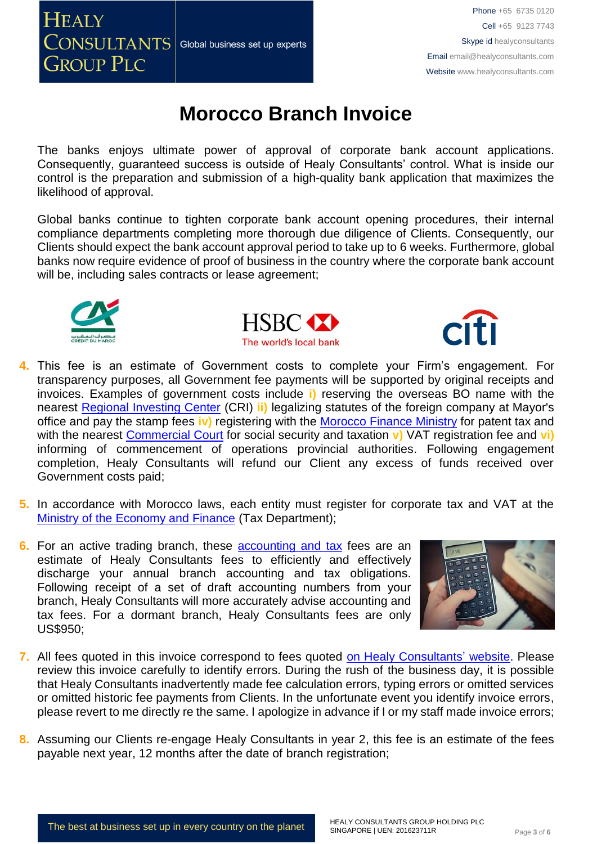

The banks enjoys ultimate power of approval of corporate bank account applications. Consequently, guaranteed success is outside of Healy Consultants' control. What is inside our control is the preparation and submission of a high-quality bank application that maximizes the likelihood of approval.

Global banks continue to tighten corporate bank account opening procedures, their internal compliance departments completing more thorough due diligence of Clients. Consequently, our Clients should expect the bank account approval period to take up to 6 weeks. Furthermore, global banks now require evidence of proof of business in the country where the corporate bank account will be, including sales contracts or lease agreement;







- **4.** This fee is an estimate of Government costs to complete your Firm's engagement. For transparency purposes, all Government fee payments will be supported by original receipts and invoices. Examples of government costs include **i)** reserving the overseas BO name with the nearest [Regional Investing Center](http://www.service-public.ma/web/guest/home?p_p_id=mmspservicepublicdiffusion_WAR_mmspservicepublicdiffusionportlet&_mmspservicepublicdiffusion_WAR_mmspservicepublicdiffusionportlet__spage=%2Fportlet_action%2Fma%2Fmmsp%2Fdiffus%2Fadresse%2Fdetail%3FidRubrique%3D10368&_mmspservicepublicdiffusion_WAR_mmspservicepublicdiffusionportlet_idRubrique=10368) (CRI) **ii)** legalizing statutes of the foreign company at Mayor's office and pay the stamp fees **iv)** registering with the [Morocco Finance Ministry](http://www.finances.gov.ma/fr/SitePages/Home.aspx) for patent tax and with the nearest [Commercial Court](http://www.service-public.ma/en/web/guest/home) for social security and taxation **v)** VAT registration fee and **vi)** informing of commencement of operations provincial authorities. Following engagement completion, Healy Consultants will refund our Client any excess of funds received over Government costs paid;
- **5.** In accordance with Morocco laws, each entity must register for corporate tax and VAT at the [Ministry of the Economy and Finance](https://www.finances.gov.ma/en/SitePages/home.aspx) (Tax Department);
- **6.** For an active trading branch, these **accounting and tax** fees are an estimate of Healy Consultants fees to efficiently and effectively discharge your annual branch accounting and tax obligations. Following receipt of a set of draft accounting numbers from your branch, Healy Consultants will more accurately advise accounting and tax fees. For a dormant branch, Healy Consultants fees are only US\$950;



- **7.** All fees quoted in this invoice correspond to fees quoted [on Healy Consultants' website.](http://www.healyconsultants.com/company-registration-fees/) Please review this invoice carefully to identify errors. During the rush of the business day, it is possible that Healy Consultants inadvertently made fee calculation errors, typing errors or omitted services or omitted historic fee payments from Clients. In the unfortunate event you identify invoice errors, please revert to me directly re the same. I apologize in advance if I or my staff made invoice errors;
- **8.** Assuming our Clients re-engage Healy Consultants in year 2, this fee is an estimate of the fees payable next year, 12 months after the date of branch registration;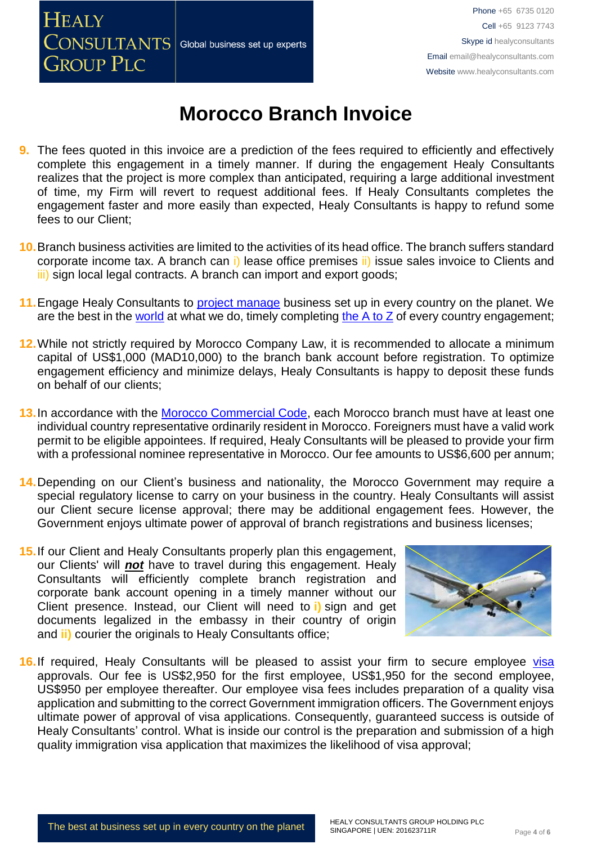

- **9.** The fees quoted in this invoice are a prediction of the fees required to efficiently and effectively complete this engagement in a timely manner. If during the engagement Healy Consultants realizes that the project is more complex than anticipated, requiring a large additional investment of time, my Firm will revert to request additional fees. If Healy Consultants completes the engagement faster and more easily than expected, Healy Consultants is happy to refund some fees to our Client;
- **10.**Branch business activities are limited to the activities of its head office. The branch suffers standard corporate income tax. A branch can i) lease office premises ii) issue sales invoice to Clients and iii) sign local legal contracts. A branch can import and export goods;
- **11.**Engage Healy Consultants to [project manage](http://www.healyconsultants.com/project-manage-engagements/) business set up in every country on the planet. We are the best in the [world](http://www.healyconsultants.com/best-in-the-world/) at what we do, timely completing [the A to Z](http://www.healyconsultants.com/a-to-z-of-business-set-up/) of every country engagement;
- **12.**While not strictly required by Morocco Company Law, it is recommended to allocate a minimum capital of US\$1,000 (MAD10,000) to the branch bank account before registration. To optimize engagement efficiency and minimize delays, Healy Consultants is happy to deposit these funds on behalf of our clients;
- **13.**In accordance with the [Morocco Commercial Code,](http://www.service-public.ma/home;jsessionid=43A3462A20DB9FE1668BB41BBE89F4BB?p_p_id=mmspservicepublicdiffusion_WAR_mmspservicepublicdiffusionportlet&p_p_lifecycle=0&p_p_state=normal&p_p_mode=view&p_p_col_id=column-1&p_p_col_count=1&_mmspservicepublicdiffusion_WAR_mmspservicepublicdiffusionportlet__spage=%2Fportlet_action%2Fprocedure%2Fprocedure%2Fview%3FrubriqueSelected.idRubrique%3D11994%26procedureSelected.idProcedure%3D3961&_mmspservicepublicdiffusion_WAR_mmspservicepublicdiffusionportlet_rubriqueSelected.idRubrique=11994&_mmspservicepublicdiffusion_WAR_mmspservicepublicdiffusionportlet_procedureSelected.idProcedure=3961) each Morocco branch must have at least one individual country representative ordinarily resident in Morocco. Foreigners must have a valid work permit to be eligible appointees. If required, Healy Consultants will be pleased to provide your firm with a professional nominee representative in Morocco. Our fee amounts to US\$6,600 per annum;
- **14.**Depending on our Client's business and nationality, the Morocco Government may require a special regulatory license to carry on your business in the country. Healy Consultants will assist our Client secure license approval; there may be additional engagement fees. However, the Government enjoys ultimate power of approval of branch registrations and business licenses;
- **15.**If our Client and Healy Consultants properly plan this engagement, our Clients' will *not* have to travel during this engagement. Healy Consultants will efficiently complete branch registration and corporate bank account opening in a timely manner without our Client presence. Instead, our Client will need to **i)** sign and get documents legalized in the embassy in their country of origin and **ii)** courier the originals to Healy Consultants office;



**16.** If required, Healy Consultants will be pleased to assist your firm to secure employee visa approvals. Our fee is US\$2,950 for the first employee, US\$1,950 for the second employee, US\$950 per employee thereafter. Our employee visa fees includes preparation of a quality visa application and submitting to the correct Government immigration officers. The Government enjoys ultimate power of approval of visa applications. Consequently, guaranteed success is outside of Healy Consultants' control. What is inside our control is the preparation and submission of a high quality immigration visa application that maximizes the likelihood of visa approval;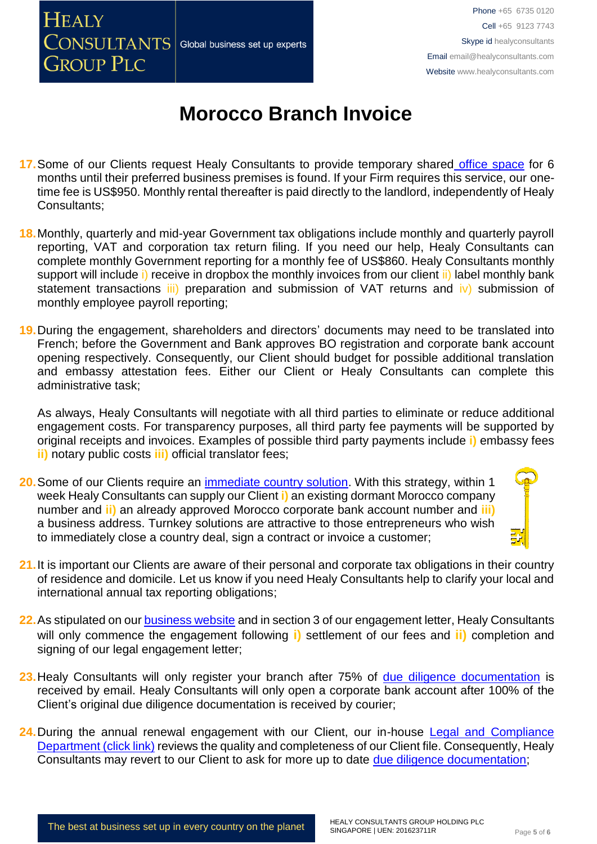### **HEALY** CONSULTANTS Global business set up experts **GROUP PLC**

# **Morocco Branch Invoice**

- **17.**Some of our Clients request Healy Consultants to provide temporary shared [office space](http://www.healyconsultants.com/virtual-office/) for 6 months until their preferred business premises is found. If your Firm requires this service, our onetime fee is US\$950. Monthly rental thereafter is paid directly to the landlord, independently of Healy Consultants;
- **18.**Monthly, quarterly and mid-year Government tax obligations include monthly and quarterly payroll reporting, VAT and corporation tax return filing. If you need our help, Healy Consultants can complete monthly Government reporting for a monthly fee of US\$860. Healy Consultants monthly support will include i) receive in dropbox the monthly invoices from our client ii) label monthly bank statement transactions iii) preparation and submission of VAT returns and iv) submission of monthly employee payroll reporting;

**19.**During the engagement, shareholders and directors' documents may need to be translated into French; before the Government and Bank approves BO registration and corporate bank account opening respectively. Consequently, our Client should budget for possible additional translation and embassy attestation fees. Either our Client or Healy Consultants can complete this administrative task;

As always, Healy Consultants will negotiate with all third parties to eliminate or reduce additional engagement costs. For transparency purposes, all third party fee payments will be supported by original receipts and invoices. Examples of possible third party payments include **i)** embassy fees **ii)** notary public costs **iii)** official translator fees;

**20.**Some of our Clients require an [immediate country solution.](http://www.healyconsultants.com/turnkey-solutions/) With this strategy, within 1 week Healy Consultants can supply our Client **i)** an existing dormant Morocco company number and **ii)** an already approved Morocco corporate bank account number and **iii)** a business address. Turnkey solutions are attractive to those entrepreneurs who wish to immediately close a country deal, sign a contract or invoice a customer;



- **21.**It is important our Clients are aware of their personal and corporate tax obligations in their country of residence and domicile. Let us know if you need Healy Consultants help to clarify your local and international annual tax reporting obligations;
- **22.**As stipulated on our [business website](http://www.healyconsultants.com/) and in section 3 of our engagement letter, Healy Consultants will only commence the engagement following **i)** settlement of our fees and **ii)** completion and signing of our legal engagement letter;
- 23. Healy Consultants will only register your branch after 75% of [due diligence documentation](http://www.healyconsultants.com/due-diligence/) is received by email. Healy Consultants will only open a corporate bank account after 100% of the Client's original due diligence documentation is received by courier;
- 24. During the annual renewal engagement with our Client, our in-house Legal and Compliance [Department \(click link\)](http://www.healyconsultants.com/about-us/key-personnel/cai-xin-profile/) reviews the quality and completeness of our Client file. Consequently, Healy Consultants may revert to our Client to ask for more up to date [due diligence documentation;](http://www.healyconsultants.com/due-diligence/)